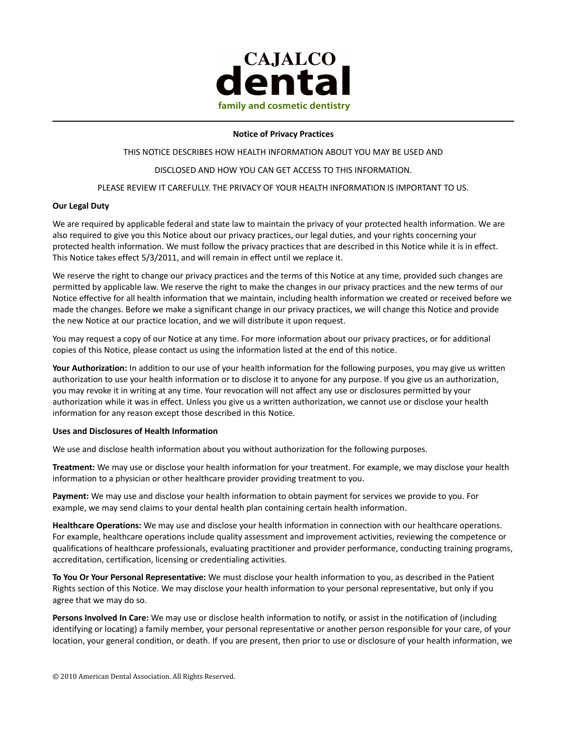

## **Notice of Privacy Practices**

# THIS NOTICE DESCRIBES HOW HEALTH INFORMATION ABOUT YOU MAY BE USED AND

## DISCLOSED AND HOW YOU CAN GET ACCESS TO THIS INFORMATION.

## PLEASE REVIEW IT CAREFULLY. THE PRIVACY OF YOUR HEALTH INFORMATION IS IMPORTANT TO US.

## **Our Legal Duty**

We are required by applicable federal and state law to maintain the privacy of your protected health information. We are also required to give you this Notice about our privacy practices, our legal duties, and your rights concerning your protected health information. We must follow the privacy practices that are described in this Notice while it is in effect. This Notice takes effect 5/3/2011, and will remain in effect until we replace it.

We reserve the right to change our privacy practices and the terms of this Notice at any time, provided such changes are permitted by applicable law. We reserve the right to make the changes in our privacy practices and the new terms of our Notice effective for all health information that we maintain, including health information we created or received before we made the changes. Before we make a significant change in our privacy practices, we will change this Notice and provide the new Notice at our practice location, and we will distribute it upon request.

You may request a copy of our Notice at any time. For more information about our privacy practices, or for additional copies of this Notice, please contact us using the information listed at the end of this notice.

**Your Authorization:** In addition to our use of your health information for the following purposes, you may give us written authorization to use your health information or to disclose it to anyone for any purpose. If you give us an authorization, you may revoke it in writing at any time. Your revocation will not affect any use or disclosures permitted by your authorization while it was in effect. Unless you give us a written authorization, we cannot use or disclose your health information for any reason except those described in this Notice.

## **Uses and Disclosures of Health Information**

We use and disclose health information about you without authorization for the following purposes.

**Treatment:** We may use or disclose your health information for your treatment. For example, we may disclose your health information to a physician or other healthcare provider providing treatment to you.

**Payment:** We may use and disclose your health information to obtain payment for services we provide to you. For example, we may send claims to your dental health plan containing certain health information.

**Healthcare Operations:** We may use and disclose your health information in connection with our healthcare operations. For example, healthcare operations include quality assessment and improvement activities, reviewing the competence or qualifications of healthcare professionals, evaluating practitioner and provider performance, conducting training programs, accreditation, certification, licensing or credentialing activities.

**To You Or Your Personal Representative:** We must disclose your health information to you, as described in the Patient Rights section of this Notice. We may disclose your health information to your personal representative, but only if you agree that we may do so.

**Persons Involved In Care:** We may use or disclose health information to notify, or assist in the notification of (including identifying or locating) a family member, your personal representative or another person responsible for your care, of your location, your general condition, or death. If you are present, then prior to use or disclosure of your health information, we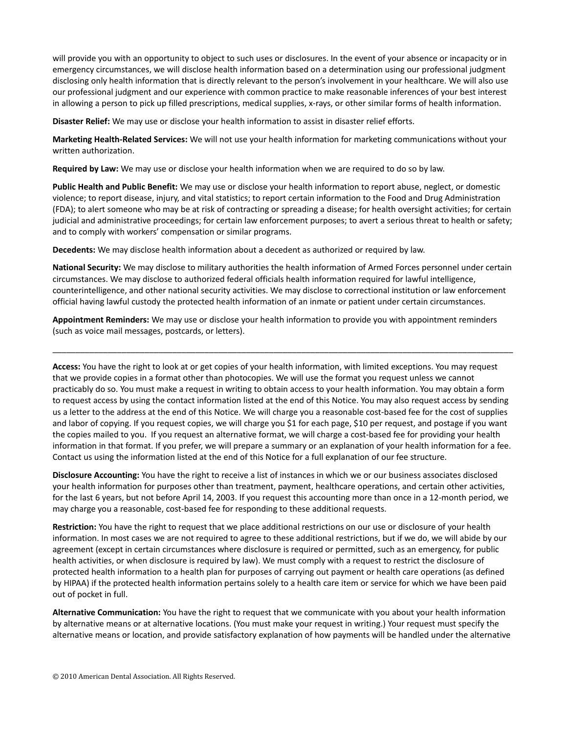will provide you with an opportunity to object to such uses or disclosures. In the event of your absence or incapacity or in emergency circumstances, we will disclose health information based on a determination using our professional judgment disclosing only health information that is directly relevant to the person's involvement in your healthcare. We will also use our professional judgment and our experience with common practice to make reasonable inferences of your best interest in allowing a person to pick up filled prescriptions, medical supplies, x-rays, or other similar forms of health information.

**Disaster Relief:** We may use or disclose your health information to assist in disaster relief efforts.

**Marketing Health-Related Services:** We will not use your health information for marketing communications without your written authorization.

**Required by Law:** We may use or disclose your health information when we are required to do so by law.

**Public Health and Public Benefit:** We may use or disclose your health information to report abuse, neglect, or domestic violence; to report disease, injury, and vital statistics; to report certain information to the Food and Drug Administration (FDA); to alert someone who may be at risk of contracting or spreading a disease; for health oversight activities; for certain judicial and administrative proceedings; for certain law enforcement purposes; to avert a serious threat to health or safety; and to comply with workers' compensation or similar programs.

**Decedents:** We may disclose health information about a decedent as authorized or required by law.

**National Security:** We may disclose to military authorities the health information of Armed Forces personnel under certain circumstances. We may disclose to authorized federal officials health information required for lawful intelligence, counterintelligence, and other national security activities. We may disclose to correctional institution or law enforcement official having lawful custody the protected health information of an inmate or patient under certain circumstances.

**Appointment Reminders:** We may use or disclose your health information to provide you with appointment reminders (such as voice mail messages, postcards, or letters).

\_\_\_\_\_\_\_\_\_\_\_\_\_\_\_\_\_\_\_\_\_\_\_\_\_\_\_\_\_\_\_\_\_\_\_\_\_\_\_\_\_\_\_\_\_\_\_\_\_\_\_\_\_\_\_\_\_\_\_\_\_\_\_\_\_\_\_\_\_\_\_\_\_\_\_\_\_\_\_\_\_\_\_\_\_\_\_\_\_\_\_\_\_\_\_\_\_\_\_\_

**Access:** You have the right to look at or get copies of your health information, with limited exceptions. You may request that we provide copies in a format other than photocopies. We will use the format you request unless we cannot practicably do so. You must make a request in writing to obtain access to your health information. You may obtain a form to request access by using the contact information listed at the end of this Notice. You may also request access by sending us a letter to the address at the end of this Notice. We will charge you a reasonable cost-based fee for the cost of supplies and labor of copying. If you request copies, we will charge you \$1 for each page, \$10 per request, and postage if you want the copies mailed to you. If you request an alternative format, we will charge a cost-based fee for providing your health information in that format. If you prefer, we will prepare a summary or an explanation of your health information for a fee. Contact us using the information listed at the end of this Notice for a full explanation of our fee structure.

**Disclosure Accounting:** You have the right to receive a list of instances in which we or our business associates disclosed your health information for purposes other than treatment, payment, healthcare operations, and certain other activities, for the last 6 years, but not before April 14, 2003. If you request this accounting more than once in a 12-month period, we may charge you a reasonable, cost-based fee for responding to these additional requests.

**Restriction:** You have the right to request that we place additional restrictions on our use or disclosure of your health information. In most cases we are not required to agree to these additional restrictions, but if we do, we will abide by our agreement (except in certain circumstances where disclosure is required or permitted, such as an emergency, for public health activities, or when disclosure is required by law). We must comply with a request to restrict the disclosure of protected health information to a health plan for purposes of carrying out payment or health care operations (as defined by HIPAA) if the protected health information pertains solely to a health care item or service for which we have been paid out of pocket in full.

**Alternative Communication:** You have the right to request that we communicate with you about your health information by alternative means or at alternative locations. (You must make your request in writing.) Your request must specify the alternative means or location, and provide satisfactory explanation of how payments will be handled under the alternative